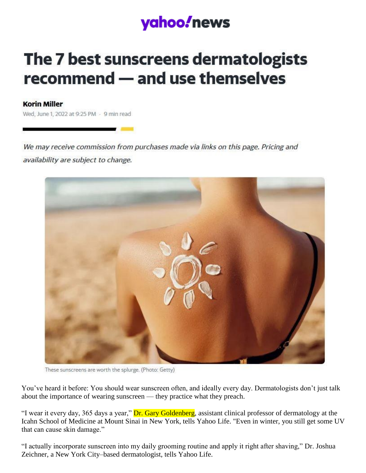## yahoo!news

# The 7 best sunscreens dermatologists recommend - and use themselves

#### **Korin Miller**

Wed, June 1, 2022 at 9:25 PM - 9 min read

We may receive commission from purchases made via links on this page. Pricing and availability are subject to change.



These sunscreens are worth the splurge. (Photo: Getty)

You've heard it before: You should wear sunscreen often, and ideally every day. Dermatologists don't just talk about the importance of wearing sunscreen — they practice what they preach.

"I wear it every day, 365 days a year," Dr. Gary Goldenberg, assistant clinical professor of dermatology at the Icahn School of Medicine at Mount Sinai in New York, tells Yahoo Life. "Even in winter, you still get some UV that can cause skin damage."

"I actually incorporate sunscreen into my daily grooming routine and apply it right after shaving," Dr. Joshua Zeichner, a New York City–based dermatologist, tells Yahoo Life.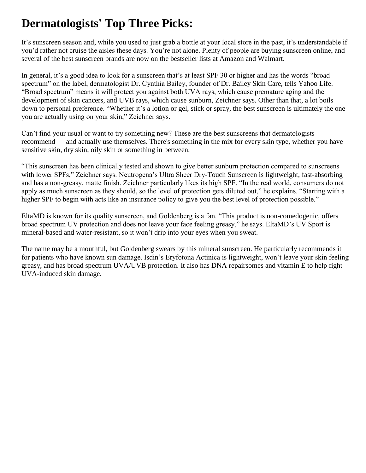### **Dermatologists' Top Three Picks:**

It's sunscreen season and, while you used to just grab a bottle at your local store in the past, it's understandable if you'd rather not cruise the aisles these days. You're not alone. Plenty of people are buying sunscreen online, and several of the best sunscreen brands are now on the bestseller lists at Amazon and Walmart.

In general, it's a good idea to look for a sunscreen that's at least SPF 30 or higher and has the words "broad spectrum" on the label, dermatologist Dr. Cynthia Bailey, founder of Dr. Bailey Skin Care, tells Yahoo Life. "Broad spectrum" means it will protect you against both UVA rays, which cause premature aging and the development of skin cancers, and UVB rays, which cause sunburn, Zeichner says. Other than that, a lot boils down to personal preference. "Whether it's a lotion or gel, stick or spray, the best sunscreen is ultimately the one you are actually using on your skin," Zeichner says.

Can't find your usual or want to try something new? These are the best sunscreens that dermatologists recommend — and actually use themselves. There's something in the mix for every skin type, whether you have sensitive skin, dry skin, oily skin or something in between.

"This sunscreen has been clinically tested and shown to give better sunburn protection compared to sunscreens with lower SPFs," Zeichner says. Neutrogena's Ultra Sheer Dry-Touch Sunscreen is lightweight, fast-absorbing and has a non-greasy, matte finish. Zeichner particularly likes its high SPF. "In the real world, consumers do not apply as much sunscreen as they should, so the level of protection gets diluted out," he explains. "Starting with a higher SPF to begin with acts like an insurance policy to give you the best level of protection possible."

EltaMD is known for its quality sunscreen, and Goldenberg is a fan. "This product is non-comedogenic, offers broad spectrum UV protection and does not leave your face feeling greasy," he says. EltaMD's UV Sport is mineral-based and water-resistant, so it won't drip into your eyes when you sweat.

The name may be a mouthful, but Goldenberg swears by this mineral sunscreen. He particularly recommends it for patients who have known sun damage. Isdin's Eryfotona Actinica is lightweight, won't leave your skin feeling greasy, and has broad spectrum UVA/UVB protection. It also has DNA repairsomes and vitamin E to help fight UVA-induced skin damage.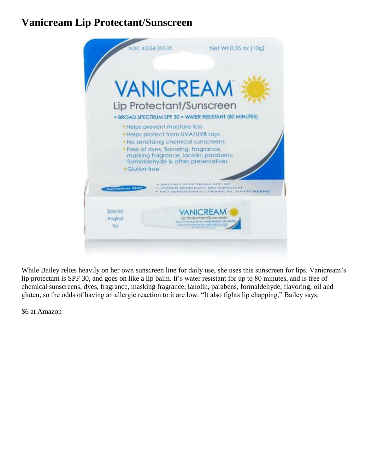#### **Vanicream Lip Protectant/Sunscreen**



While Bailey relies heavily on her own sunscreen line for daily use, she uses this sunscreen for lips. Vanicream's lip protectant is SPF 30, and goes on like a lip balm. It's water resistant for up to 80 minutes, and is free of chemical sunscreens, dyes, fragrance, masking fragrance, lanolin, parabens, formaldehyde, flavoring, oil and gluten, so the odds of having an allergic reaction to it are low. "It also fights lip chapping," Bailey says.

\$6 at Amazon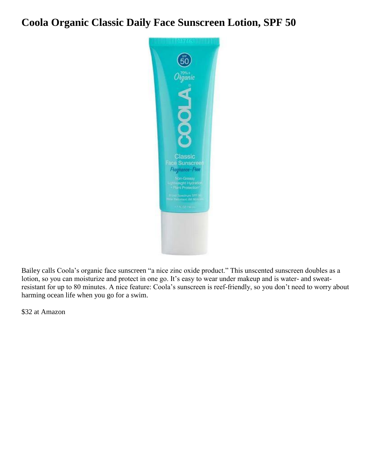#### **Coola Organic Classic Daily Face Sunscreen Lotion, SPF 50**



Bailey calls Coola's organic face sunscreen "a nice zinc oxide product." This unscented sunscreen doubles as a lotion, so you can moisturize and protect in one go. It's easy to wear under makeup and is water- and sweatresistant for up to 80 minutes. A nice feature: Coola's sunscreen is reef-friendly, so you don't need to worry about harming ocean life when you go for a swim.

\$32 at Amazon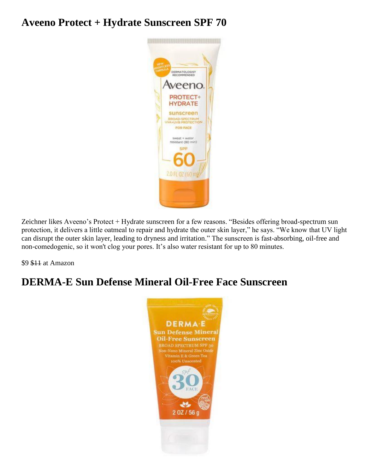#### **Aveeno Protect + Hydrate Sunscreen SPF 70**



Zeichner likes Aveeno's Protect + Hydrate sunscreen for a few reasons. "Besides offering broad-spectrum sun protection, it delivers a little oatmeal to repair and hydrate the outer skin layer," he says. "We know that UV light can disrupt the outer skin layer, leading to dryness and irritation." The sunscreen is fast-absorbing, oil-free and non-comedogenic, so it won't clog your pores. It's also water resistant for up to 80 minutes.

\$9 \$11 at Amazon

#### **DERMA-E Sun Defense Mineral Oil-Free Face Sunscreen**